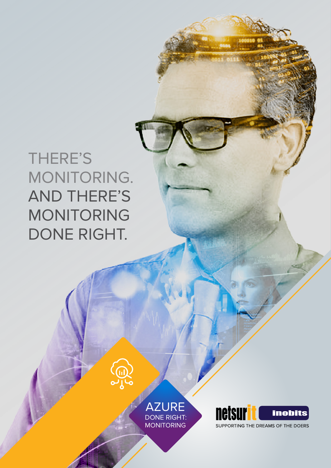# THERE'S MONITORING. AND THERE'S MONITORING DONE RIGHT.

AZURE DONE RIGHT: MONITORING

**CONS** 

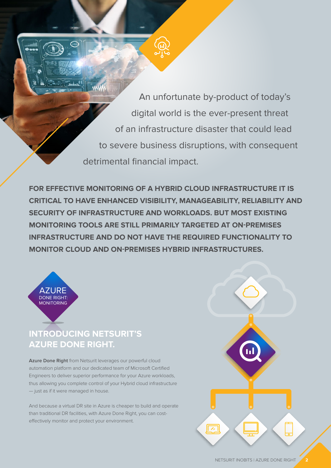An unfortunate by-product of today's digital world is the ever-present threat of an infrastructure disaster that could lead to severe business disruptions, with consequent detrimental financial impact.

**FOR EFFECTIVE MONITORING OF A HYBRID CLOUD INFRASTRUCTURE IT IS CRITICAL TO HAVE ENHANCED VISIBILITY, MANAGEABILITY, RELIABILITY AND SECURITY OF INFRASTRUCTURE AND WORKLOADS. BUT MOST EXISTING MONITORING TOOLS ARE STILL PRIMARILY TARGETED AT ON-PREMISES INFRASTRUCTURE AND DO NOT HAVE THE REQUIRED FUNCTIONALITY TO MONITOR CLOUD AND ON-PREMISES HYBRID INFRASTRUCTURES.**



## **AZURE DONE RIGHT. INTRODUCING NETSURIT'S**

**Azure Done Right** from Netsurit leverages our powerful cloud automation platform and our dedicated team of Microsoft Certified Engineers to deliver superior performance for your Azure workloads, thus allowing you complete control of your Hybrid cloud infrastructure — just as if it were managed in house.

And because a virtual DR site in Azure is cheaper to build and operate than traditional DR facilities, with Azure Done Right, you can costeffectively monitor and protect your environment.